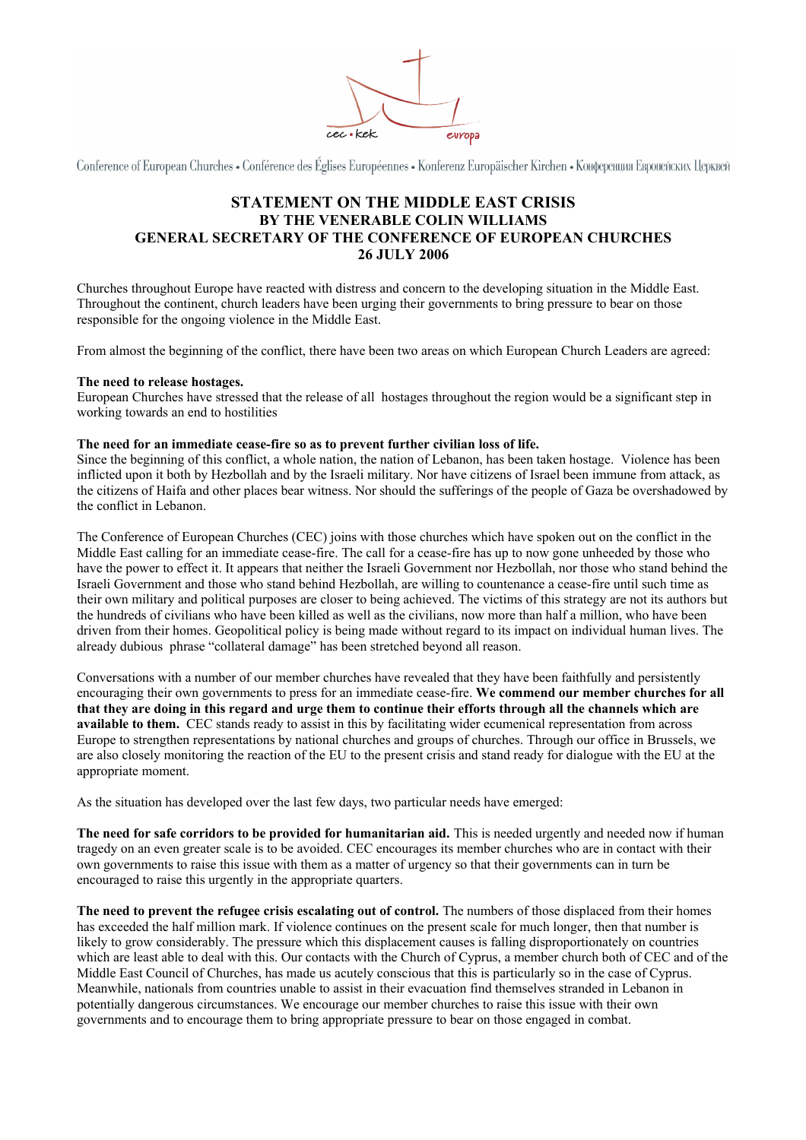

Conference of European Churches • Conférence des Églises Européennes • Konferenz Europäischer Kirchen • Конференция Европейских Церквей

# **STATEMENT ON THE MIDDLE EAST CRISIS BY THE VENERABLE COLIN WILLIAMS GENERAL SECRETARY OF THE CONFERENCE OF EUROPEAN CHURCHES 26 JULY 2006**

Churches throughout Europe have reacted with distress and concern to the developing situation in the Middle East. Throughout the continent, church leaders have been urging their governments to bring pressure to bear on those responsible for the ongoing violence in the Middle East.

From almost the beginning of the conflict, there have been two areas on which European Church Leaders are agreed:

## **The need to release hostages.**

European Churches have stressed that the release of all hostages throughout the region would be a significant step in working towards an end to hostilities

## **The need for an immediate cease-fire so as to prevent further civilian loss of life.**

Since the beginning of this conflict, a whole nation, the nation of Lebanon, has been taken hostage. Violence has been inflicted upon it both by Hezbollah and by the Israeli military. Nor have citizens of Israel been immune from attack, as the citizens of Haifa and other places bear witness. Nor should the sufferings of the people of Gaza be overshadowed by the conflict in Lebanon.

The Conference of European Churches (CEC) joins with those churches which have spoken out on the conflict in the Middle East calling for an immediate cease-fire. The call for a cease-fire has up to now gone unheeded by those who have the power to effect it. It appears that neither the Israeli Government nor Hezbollah, nor those who stand behind the Israeli Government and those who stand behind Hezbollah, are willing to countenance a cease-fire until such time as their own military and political purposes are closer to being achieved. The victims of this strategy are not its authors but the hundreds of civilians who have been killed as well as the civilians, now more than half a million, who have been driven from their homes. Geopolitical policy is being made without regard to its impact on individual human lives. The already dubious phrase "collateral damage" has been stretched beyond all reason.

Conversations with a number of our member churches have revealed that they have been faithfully and persistently encouraging their own governments to press for an immediate cease-fire. **We commend our member churches for all that they are doing in this regard and urge them to continue their efforts through all the channels which are available to them.** CEC stands ready to assist in this by facilitating wider ecumenical representation from across Europe to strengthen representations by national churches and groups of churches. Through our office in Brussels, we are also closely monitoring the reaction of the EU to the present crisis and stand ready for dialogue with the EU at the appropriate moment.

As the situation has developed over the last few days, two particular needs have emerged:

**The need for safe corridors to be provided for humanitarian aid.** This is needed urgently and needed now if human tragedy on an even greater scale is to be avoided. CEC encourages its member churches who are in contact with their own governments to raise this issue with them as a matter of urgency so that their governments can in turn be encouraged to raise this urgently in the appropriate quarters.

**The need to prevent the refugee crisis escalating out of control.** The numbers of those displaced from their homes has exceeded the half million mark. If violence continues on the present scale for much longer, then that number is likely to grow considerably. The pressure which this displacement causes is falling disproportionately on countries which are least able to deal with this. Our contacts with the Church of Cyprus, a member church both of CEC and of the Middle East Council of Churches, has made us acutely conscious that this is particularly so in the case of Cyprus. Meanwhile, nationals from countries unable to assist in their evacuation find themselves stranded in Lebanon in potentially dangerous circumstances. We encourage our member churches to raise this issue with their own governments and to encourage them to bring appropriate pressure to bear on those engaged in combat.